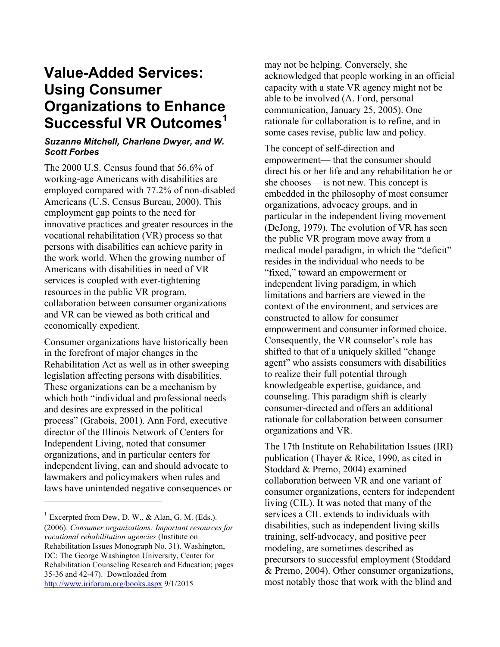# **Value-Added Services: Using Consumer Organizations to Enhance Successful VR Outcomes<sup>1</sup>**

#### *Suzanne Mitchell, Charlene Dwyer, and W. Scott Forbes*

The 2000 U.S. Census found that 56.6% of working-age Americans with disabilities are employed compared with 77.2% of non-disabled Americans (U.S. Census Bureau, 2000). This employment gap points to the need for innovative practices and greater resources in the vocational rehabilitation (VR) process so that persons with disabilities can achieve parity in the work world. When the growing number of Americans with disabilities in need of VR services is coupled with ever-tightening resources in the public VR program, collaboration between consumer organizations and VR can be viewed as both critical and economically expedient.

Consumer organizations have historically been in the forefront of major changes in the Rehabilitation Act as well as in other sweeping legislation affecting persons with disabilities. These organizations can be a mechanism by which both "individual and professional needs and desires are expressed in the political process" (Grabois, 2001). Ann Ford, executive director of the Illinois Network of Centers for Independent Living, noted that consumer organizations, and in particular centers for independent living, can and should advocate to lawmakers and policymakers when rules and laws have unintended negative consequences or

<sup>1</sup> Excerpted from Dew, D. W., & Alan, G. M. (Eds.). (2006). *Consumer organizations: Important resources for vocational rehabilitation agencies* (Institute on Rehabilitation Issues Monograph No. 31). Washington, DC: The George Washington University, Center for Rehabilitation Counseling Research and Education; pages 35-36 and 42-47). Downloaded from http://www.iriforum.org/books.aspx 9/1/2015

 $\overline{a}$ 

may not be helping. Conversely, she acknowledged that people working in an official capacity with a state VR agency might not be able to be involved (A. Ford, personal communication, January 25, 2005). One rationale for collaboration is to refine, and in some cases revise, public law and policy.

The concept of self-direction and empowerment— that the consumer should direct his or her life and any rehabilitation he or she chooses— is not new. This concept is embedded in the philosophy of most consumer organizations, advocacy groups, and in particular in the independent living movement (DeJong, 1979). The evolution of VR has seen the public VR program move away from a medical model paradigm, in which the "deficit" resides in the individual who needs to be "fixed," toward an empowerment or independent living paradigm, in which limitations and barriers are viewed in the context of the environment, and services are constructed to allow for consumer empowerment and consumer informed choice. Consequently, the VR counselor's role has shifted to that of a uniquely skilled "change agent" who assists consumers with disabilities to realize their full potential through knowledgeable expertise, guidance, and counseling. This paradigm shift is clearly consumer-directed and offers an additional rationale for collaboration between consumer organizations and VR.

The 17th Institute on Rehabilitation Issues (IRI) publication (Thayer & Rice, 1990, as cited in Stoddard & Premo, 2004) examined collaboration between VR and one variant of consumer organizations, centers for independent living (CIL). It was noted that many of the services a CIL extends to individuals with disabilities, such as independent living skills training, self-advocacy, and positive peer modeling, are sometimes described as precursors to successful employment (Stoddard & Premo, 2004). Other consumer organizations, most notably those that work with the blind and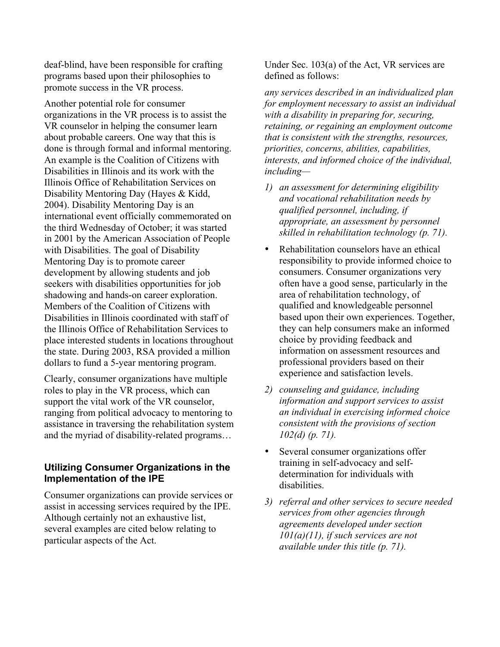deaf-blind, have been responsible for crafting programs based upon their philosophies to promote success in the VR process.

Another potential role for consumer organizations in the VR process is to assist the VR counselor in helping the consumer learn about probable careers. One way that this is done is through formal and informal mentoring. An example is the Coalition of Citizens with Disabilities in Illinois and its work with the Illinois Office of Rehabilitation Services on Disability Mentoring Day (Hayes & Kidd, 2004). Disability Mentoring Day is an international event officially commemorated on the third Wednesday of October; it was started in 2001 by the American Association of People with Disabilities. The goal of Disability Mentoring Day is to promote career development by allowing students and job seekers with disabilities opportunities for job shadowing and hands-on career exploration. Members of the Coalition of Citizens with Disabilities in Illinois coordinated with staff of the Illinois Office of Rehabilitation Services to place interested students in locations throughout the state. During 2003, RSA provided a million dollars to fund a 5-year mentoring program.

Clearly, consumer organizations have multiple roles to play in the VR process, which can support the vital work of the VR counselor, ranging from political advocacy to mentoring to assistance in traversing the rehabilitation system and the myriad of disability-related programs…

### **Utilizing Consumer Organizations in the Implementation of the IPE**

Consumer organizations can provide services or assist in accessing services required by the IPE. Although certainly not an exhaustive list, several examples are cited below relating to particular aspects of the Act.

Under Sec. 103(a) of the Act, VR services are defined as follows:

*any services described in an individualized plan for employment necessary to assist an individual with a disability in preparing for, securing, retaining, or regaining an employment outcome that is consistent with the strengths, resources, priorities, concerns, abilities, capabilities, interests, and informed choice of the individual, including—*

- *1) an assessment for determining eligibility and vocational rehabilitation needs by qualified personnel, including, if appropriate, an assessment by personnel skilled in rehabilitation technology (p. 71).*
- Rehabilitation counselors have an ethical responsibility to provide informed choice to consumers. Consumer organizations very often have a good sense, particularly in the area of rehabilitation technology, of qualified and knowledgeable personnel based upon their own experiences. Together, they can help consumers make an informed choice by providing feedback and information on assessment resources and professional providers based on their experience and satisfaction levels.
- *2) counseling and guidance, including information and support services to assist an individual in exercising informed choice consistent with the provisions of section 102(d) (p. 71).*
- Several consumer organizations offer training in self-advocacy and selfdetermination for individuals with disabilities.
- *3) referral and other services to secure needed services from other agencies through agreements developed under section 101(a)(11), if such services are not available under this title (p. 71).*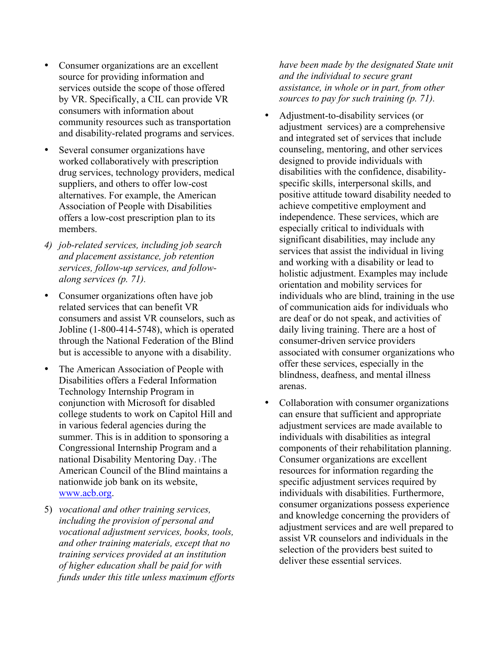- Consumer organizations are an excellent source for providing information and services outside the scope of those offered by VR. Specifically, a CIL can provide VR consumers with information about community resources such as transportation and disability-related programs and services.
- Several consumer organizations have worked collaboratively with prescription drug services, technology providers, medical suppliers, and others to offer low-cost alternatives. For example, the American Association of People with Disabilities offers a low-cost prescription plan to its members.
- *4) job-related services, including job search and placement assistance, job retention services, follow-up services, and followalong services (p. 71).*
- Consumer organizations often have job related services that can benefit VR consumers and assist VR counselors, such as Jobline (1-800-414-5748), which is operated through the National Federation of the Blind but is accessible to anyone with a disability.
- The American Association of People with Disabilities offers a Federal Information Technology Internship Program in conjunction with Microsoft for disabled college students to work on Capitol Hill and in various federal agencies during the summer. This is in addition to sponsoring a Congressional Internship Program and a national Disability Mentoring Day. The American Council of the Blind maintains a nationwide job bank on its website, www.acb.org.
- 5) *vocational and other training services, including the provision of personal and vocational adjustment services, books, tools, and other training materials, except that no training services provided at an institution of higher education shall be paid for with funds under this title unless maximum efforts*

*have been made by the designated State unit and the individual to secure grant assistance, in whole or in part, from other sources to pay for such training (p. 71).*

- Adjustment-to-disability services (or adjustment services) are a comprehensive and integrated set of services that include counseling, mentoring, and other services designed to provide individuals with disabilities with the confidence, disabilityspecific skills, interpersonal skills, and positive attitude toward disability needed to achieve competitive employment and independence. These services, which are especially critical to individuals with significant disabilities, may include any services that assist the individual in living and working with a disability or lead to holistic adjustment. Examples may include orientation and mobility services for individuals who are blind, training in the use of communication aids for individuals who are deaf or do not speak, and activities of daily living training. There are a host of consumer-driven service providers associated with consumer organizations who offer these services, especially in the blindness, deafness, and mental illness arenas.
- Collaboration with consumer organizations can ensure that sufficient and appropriate adjustment services are made available to individuals with disabilities as integral components of their rehabilitation planning. Consumer organizations are excellent resources for information regarding the specific adjustment services required by individuals with disabilities. Furthermore, consumer organizations possess experience and knowledge concerning the providers of adjustment services and are well prepared to assist VR counselors and individuals in the selection of the providers best suited to deliver these essential services.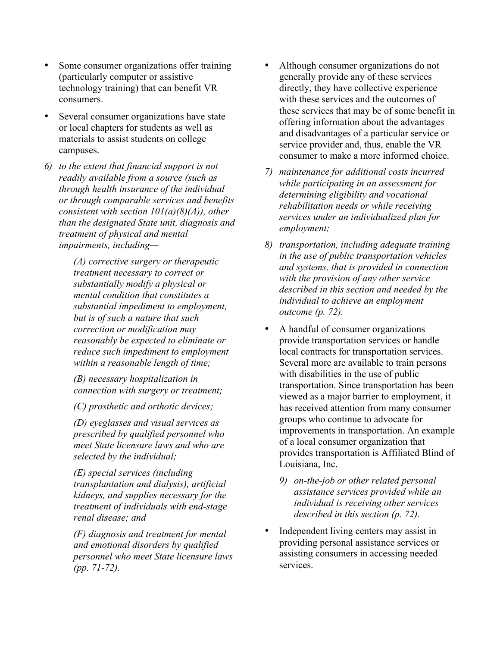- Some consumer organizations offer training (particularly computer or assistive technology training) that can benefit VR consumers.
- Several consumer organizations have state or local chapters for students as well as materials to assist students on college campuses.
- *6) to the extent that financial support is not readily available from a source (such as through health insurance of the individual or through comparable services and benefits consistent with section 101(a)(8)(A)), other than the designated State unit, diagnosis and treatment of physical and mental impairments, including—*

*(A) corrective surgery or therapeutic treatment necessary to correct or substantially modify a physical or mental condition that constitutes a substantial impediment to employment, but is of such a nature that such correction or modification may reasonably be expected to eliminate or reduce such impediment to employment within a reasonable length of time;*

*(B) necessary hospitalization in connection with surgery or treatment;*

*(C) prosthetic and orthotic devices;*

*(D) eyeglasses and visual services as prescribed by qualified personnel who meet State licensure laws and who are selected by the individual;*

*(E) special services (including transplantation and dialysis), artificial kidneys, and supplies necessary for the treatment of individuals with end-stage renal disease; and*

*(F) diagnosis and treatment for mental and emotional disorders by qualified personnel who meet State licensure laws (pp. 71-72).*

- Although consumer organizations do not generally provide any of these services directly, they have collective experience with these services and the outcomes of these services that may be of some benefit in offering information about the advantages and disadvantages of a particular service or service provider and, thus, enable the VR consumer to make a more informed choice.
- *7) maintenance for additional costs incurred while participating in an assessment for determining eligibility and vocational rehabilitation needs or while receiving services under an individualized plan for employment;*
- *8) transportation, including adequate training in the use of public transportation vehicles and systems, that is provided in connection with the provision of any other service described in this section and needed by the individual to achieve an employment outcome (p. 72).*
- A handful of consumer organizations provide transportation services or handle local contracts for transportation services. Several more are available to train persons with disabilities in the use of public transportation. Since transportation has been viewed as a major barrier to employment, it has received attention from many consumer groups who continue to advocate for improvements in transportation. An example of a local consumer organization that provides transportation is Affiliated Blind of Louisiana, Inc.
	- *9) on-the-job or other related personal assistance services provided while an individual is receiving other services described in this section (p. 72).*
- Independent living centers may assist in providing personal assistance services or assisting consumers in accessing needed services.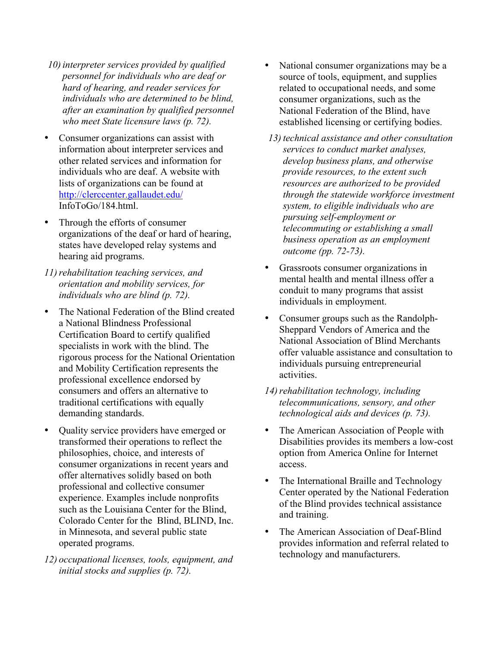- *10) interpreter services provided by qualified personnel for individuals who are deaf or hard of hearing, and reader services for individuals who are determined to be blind, after an examination by qualified personnel who meet State licensure laws (p. 72).*
- Consumer organizations can assist with information about interpreter services and other related services and information for individuals who are deaf. A website with lists of organizations can be found at http://clerccenter.gallaudet.edu/ InfoToGo/184.html.
- Through the efforts of consumer organizations of the deaf or hard of hearing, states have developed relay systems and hearing aid programs.
- *11)rehabilitation teaching services, and orientation and mobility services, for individuals who are blind (p. 72).*
- The National Federation of the Blind created a National Blindness Professional Certification Board to certify qualified specialists in work with the blind. The rigorous process for the National Orientation and Mobility Certification represents the professional excellence endorsed by consumers and offers an alternative to traditional certifications with equally demanding standards.
- Quality service providers have emerged or transformed their operations to reflect the philosophies, choice, and interests of consumer organizations in recent years and offer alternatives solidly based on both professional and collective consumer experience. Examples include nonprofits such as the Louisiana Center for the Blind, Colorado Center for the Blind, BLIND, Inc. in Minnesota, and several public state operated programs.
- *12) occupational licenses, tools, equipment, and initial stocks and supplies (p. 72).*
- National consumer organizations may be a source of tools, equipment, and supplies related to occupational needs, and some consumer organizations, such as the National Federation of the Blind, have established licensing or certifying bodies.
- *13) technical assistance and other consultation services to conduct market analyses, develop business plans, and otherwise provide resources, to the extent such resources are authorized to be provided through the statewide workforce investment system, to eligible individuals who are pursuing self-employment or telecommuting or establishing a small business operation as an employment outcome (pp. 72-73).*
- Grassroots consumer organizations in mental health and mental illness offer a conduit to many programs that assist individuals in employment.
- Consumer groups such as the Randolph-Sheppard Vendors of America and the National Association of Blind Merchants offer valuable assistance and consultation to individuals pursuing entrepreneurial activities.
- 14) rehabilitation technology, including *telecommunications, sensory, and other technological aids and devices (p. 73).*
- The American Association of People with Disabilities provides its members a low-cost option from America Online for Internet access.
- The International Braille and Technology Center operated by the National Federation of the Blind provides technical assistance and training.
- The American Association of Deaf-Blind provides information and referral related to technology and manufacturers.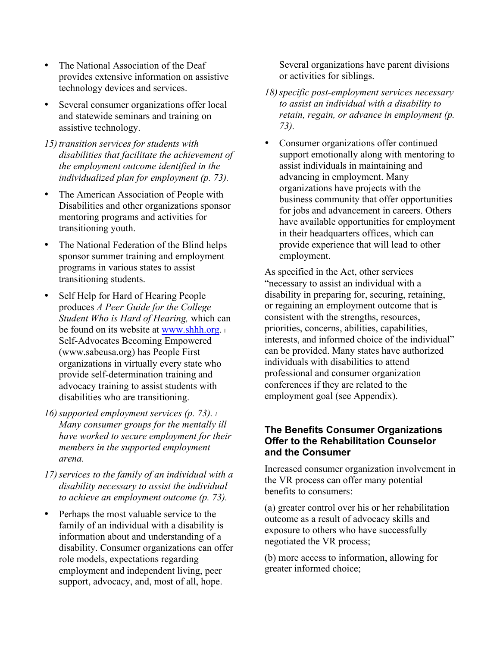- The National Association of the Deaf provides extensive information on assistive technology devices and services.
- Several consumer organizations offer local and statewide seminars and training on assistive technology.
- *15) transition services for students with disabilities that facilitate the achievement of the employment outcome identified in the individualized plan for employment (p. 73).*
- The American Association of People with Disabilities and other organizations sponsor mentoring programs and activities for transitioning youth.
- The National Federation of the Blind helps sponsor summer training and employment programs in various states to assist transitioning students.
- Self Help for Hard of Hearing People produces *A Peer Guide for the College Student Who is Hard of Hearing,* which can be found on its website at www.shhh.org. Self-Advocates Becoming Empowered (www.sabeusa.org) has People First organizations in virtually every state who provide self-determination training and advocacy training to assist students with disabilities who are transitioning.
- *16)supported employment services (p. 73). <sup>l</sup> Many consumer groups for the mentally ill have worked to secure employment for their members in the supported employment arena.*
- *17)services to the family of an individual with a disability necessary to assist the individual to achieve an employment outcome (p. 73).*
- Perhaps the most valuable service to the family of an individual with a disability is information about and understanding of a disability. Consumer organizations can offer role models, expectations regarding employment and independent living, peer support, advocacy, and, most of all, hope.

Several organizations have parent divisions or activities for siblings.

- *18)specific post-employment services necessary to assist an individual with a disability to retain, regain, or advance in employment (p. 73).*
- Consumer organizations offer continued support emotionally along with mentoring to assist individuals in maintaining and advancing in employment. Many organizations have projects with the business community that offer opportunities for jobs and advancement in careers. Others have available opportunities for employment in their headquarters offices, which can provide experience that will lead to other employment.

As specified in the Act, other services "necessary to assist an individual with a disability in preparing for, securing, retaining, or regaining an employment outcome that is consistent with the strengths, resources, priorities, concerns, abilities, capabilities, interests, and informed choice of the individual" can be provided. Many states have authorized individuals with disabilities to attend professional and consumer organization conferences if they are related to the employment goal (see Appendix).

### **The Benefits Consumer Organizations Offer to the Rehabilitation Counselor and the Consumer**

Increased consumer organization involvement in the VR process can offer many potential benefits to consumers:

(a) greater control over his or her rehabilitation outcome as a result of advocacy skills and exposure to others who have successfully negotiated the VR process;

(b) more access to information, allowing for greater informed choice;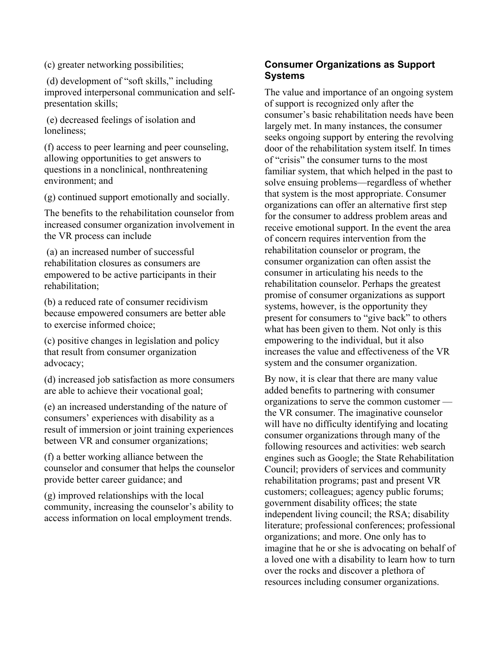(c) greater networking possibilities;

(d) development of "soft skills," including improved interpersonal communication and selfpresentation skills;

(e) decreased feelings of isolation and loneliness;

(f) access to peer learning and peer counseling, allowing opportunities to get answers to questions in a nonclinical, nonthreatening environment; and

(g) continued support emotionally and socially.

The benefits to the rehabilitation counselor from increased consumer organization involvement in the VR process can include

(a) an increased number of successful rehabilitation closures as consumers are empowered to be active participants in their rehabilitation;

(b) a reduced rate of consumer recidivism because empowered consumers are better able to exercise informed choice;

(c) positive changes in legislation and policy that result from consumer organization advocacy;

(d) increased job satisfaction as more consumers are able to achieve their vocational goal;

(e) an increased understanding of the nature of consumers' experiences with disability as a result of immersion or joint training experiences between VR and consumer organizations;

(f) a better working alliance between the counselor and consumer that helps the counselor provide better career guidance; and

(g) improved relationships with the local community, increasing the counselor's ability to access information on local employment trends.

## **Consumer Organizations as Support Systems**

The value and importance of an ongoing system of support is recognized only after the consumer's basic rehabilitation needs have been largely met. In many instances, the consumer seeks ongoing support by entering the revolving door of the rehabilitation system itself. In times of "crisis" the consumer turns to the most familiar system, that which helped in the past to solve ensuing problems—regardless of whether that system is the most appropriate. Consumer organizations can offer an alternative first step for the consumer to address problem areas and receive emotional support. In the event the area of concern requires intervention from the rehabilitation counselor or program, the consumer organization can often assist the consumer in articulating his needs to the rehabilitation counselor. Perhaps the greatest promise of consumer organizations as support systems, however, is the opportunity they present for consumers to "give back" to others what has been given to them. Not only is this empowering to the individual, but it also increases the value and effectiveness of the VR system and the consumer organization.

By now, it is clear that there are many value added benefits to partnering with consumer organizations to serve the common customer the VR consumer. The imaginative counselor will have no difficulty identifying and locating consumer organizations through many of the following resources and activities: web search engines such as Google; the State Rehabilitation Council; providers of services and community rehabilitation programs; past and present VR customers; colleagues; agency public forums; government disability offices; the state independent living council; the RSA; disability literature; professional conferences; professional organizations; and more. One only has to imagine that he or she is advocating on behalf of a loved one with a disability to learn how to turn over the rocks and discover a plethora of resources including consumer organizations.